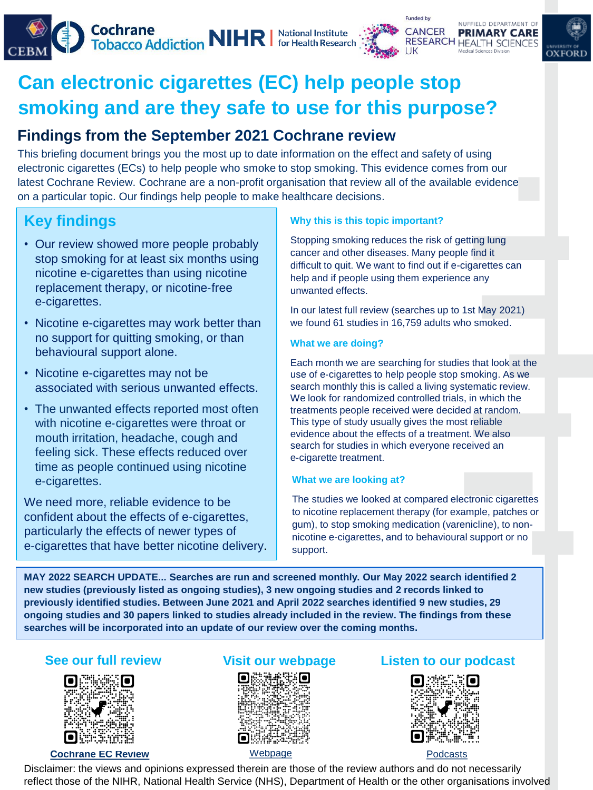



# **Can electronic cigarettes (EC) help people stop smoking and are they safe to use for this purpose?**

### **Findings from the September 2021 Cochrane review**

This briefing document brings you the most up to date information on the effect and safety of using electronic cigarettes (ECs) to help people who smoke to stop smoking. This evidence comes from our latest Cochrane Review. Cochrane are a non-profit organisation that review all of the available evidence on a particular topic. Our findings help people to make healthcare decisions.

## **Key findings**

- Our review showed more people probably stop smoking for at least six months using nicotine e‐cigarettes than using nicotine replacement therapy, or nicotine‐free e-cigarettes.
- Nicotine e-cigarettes may work better than no support for quitting smoking, or than behavioural support alone.
- Nicotine e-cigarettes may not be associated with serious unwanted effects.
- The unwanted effects reported most often with nicotine e-cigarettes were throat or mouth irritation, headache, cough and feeling sick. These effects reduced over time as people continued using nicotine e‐cigarettes.

We need more, reliable evidence to be confident about the effects of e‐cigarettes, particularly the effects of newer types of e‐cigarettes that have better nicotine delivery.

#### **Why this is this topic important?**

Stopping smoking reduces the risk of getting lung cancer and other diseases. Many people find it difficult to quit. We want to find out if e-cigarettes can help and if people using them experience any unwanted effects.

In our latest full review (searches up to 1st May 2021) we found 61 studies in 16,759 adults who smoked.

#### **What we are doing?**

Each month we are searching for studies that look at the use of e‐cigarettes to help people stop smoking. As we search monthly this is called a living systematic review. We look for randomized controlled trials, in which the treatments people received were decided at random. This type of study usually gives the most reliable evidence about the effects of a treatment. We also search for studies in which everyone received an e‐cigarette treatment.

#### **What we are looking at?**

The studies we looked at compared electronic cigarettes to nicotine replacement therapy (for example, patches or gum), to stop smoking medication (varenicline), to nonnicotine e-cigarettes, and to behavioural support or no support.

**MAY 2022 SEARCH UPDATE... Searches are run and screened monthly. Our May 2022 search identified 2 new studies (previously listed as ongoing studies), 3 new ongoing studies and 2 records linked to previously identified studies. Between June 2021 and April 2022 searches identified 9 new studies, 29 ongoing studies and 30 papers linked to studies already included in the review. The findings from these searches will be incorporated into an update of our review over the coming months.** 



#### **[Cochrane EC Review](https://doi.org/10.1002/14651858.CD010216.pub6)**



[Webpage](https://www.cebm.ox.ac.uk/research/electronic-cigarettes-for-smoking-cessation-cochrane-living-systematic-review-1)

### **See our full review Visit our webpage Listen to our podcast**



Disclaimer: the views and opinions expressed therein are those of the review authors and do not necessarily reflect those of the NIHR, National Health Service (NHS), Department of Health or the other organisations involved